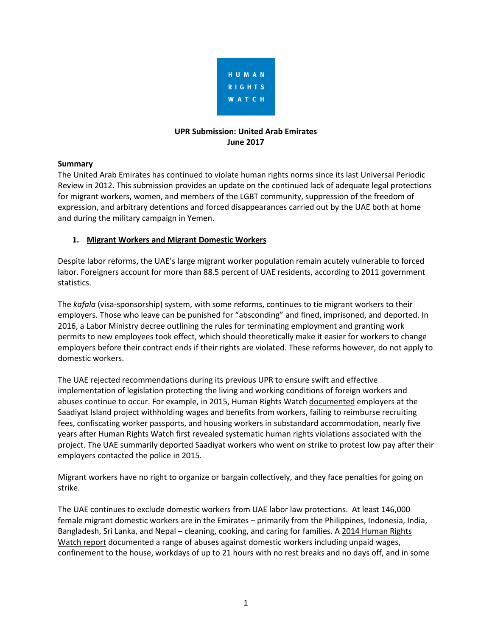

#### **UPR Submission: United Arab Emirates June 2017**

# **Summary**

The United Arab Emirates has continued to violate human rights norms since its last Universal Periodic Review in 2012. This submission provides an update on the continued lack of adequate legal protections for migrant workers, women, and members of the LGBT community, suppression of the freedom of expression, and arbitrary detentions and forced disappearances carried out by the UAE both at home and during the military campaign in Yemen.

# **1. Migrant Workers and Migrant Domestic Workers**

Despite labor reforms, the UAE's large migrant worker population remain acutely vulnerable to forced labor. Foreigners account for more than 88.5 percent of UAE residents, according to 2011 government statistics.

The *kafala* (visa-sponsorship) system, with some reforms, continues to tie migrant workers to their employers. Those who leave can be punished for "absconding" and fined, imprisoned, and deported. In 2016, a Labor Ministry decree outlining the rules for terminating employment and granting work permits to new employees took effect, which should theoretically make it easier for workers to change employers before their contract ends if their rights are violated. These reforms however, do not apply to domestic workers.

The UAE rejected recommendations during its previous UPR to ensure swift and effective implementation of legislation protecting the living and working conditions of foreign workers and abuses continue to occur. For example, in 2015, Human Rights Watch [documented](https://www.hrw.org/report/2015/02/10/migrant-workers-rights-saadiyat-island-united-arab-emirates/2015-progress-report) employers at the Saadiyat Island project withholding wages and benefits from workers, failing to reimburse recruiting fees, confiscating worker passports, and housing workers in substandard accommodation, nearly five years after Human Rights Watch first revealed systematic human rights violations associated with the project. The UAE summarily deported Saadiyat workers who went on strike to protest low pay after their employers contacted the police in 2015.

Migrant workers have no right to organize or bargain collectively, and they face penalties for going on strike.

The UAE continues to exclude domestic workers from UAE labor law protections. At least 146,000 female migrant domestic workers are in the Emirates – primarily from the Philippines, Indonesia, India, Bangladesh, Sri Lanka, and Nepal – cleaning, cooking, and caring for families. A 2014 [Human](https://www.hrw.org/news/2014/10/22/united-arab-emirates-trapped-exploited-abused) Rights [Watch](https://www.hrw.org/news/2014/10/22/united-arab-emirates-trapped-exploited-abused) report documented a range of abuses against domestic workers including unpaid wages, confinement to the house, workdays of up to 21 hours with no rest breaks and no days off, and in some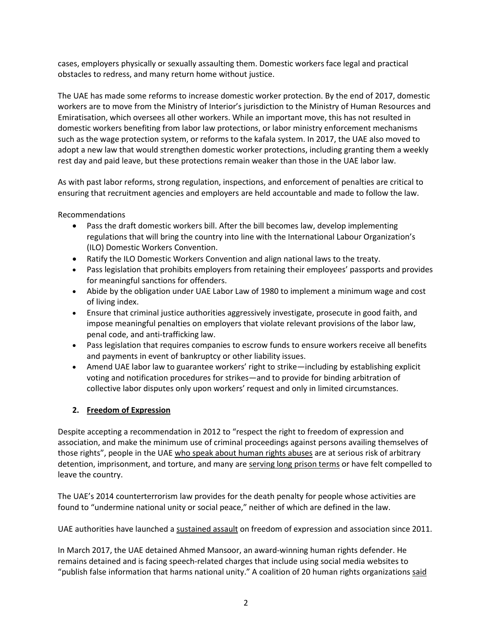cases, employers physically or sexually assaulting them. Domestic workers face legal and practical obstacles to redress, and many return home without justice.

The UAE has made some reforms to increase domestic worker protection. By the end of 2017, domestic workers are to move from the Ministry of Interior's jurisdiction to the Ministry of Human Resources and Emiratisation, which oversees all other workers. While an important move, this has not resulted in domestic workers benefiting from labor law protections, or labor ministry enforcement mechanisms such as the wage protection system, or reforms to the kafala system. In 2017, the UAE also moved to adopt a new law that would strengthen domestic worker protections, including granting them a weekly rest day and paid leave, but these protections remain weaker than those in the UAE labor law.

As with past labor reforms, strong regulation, inspections, and enforcement of penalties are critical to ensuring that recruitment agencies and employers are held accountable and made to follow the law.

Recommendations

- Pass the draft domestic workers bill. After the bill becomes law, develop implementing regulations that will bring the country into line with the International Labour Organization's (ILO) Domestic Workers Convention.
- Ratify the ILO Domestic Workers Convention and align national laws to the treaty.
- Pass legislation that prohibits employers from retaining their employees' passports and provides for meaningful sanctions for offenders.
- Abide by the obligation under UAE Labor Law of 1980 to implement a minimum wage and cost of living index.
- Ensure that criminal justice authorities aggressively investigate, prosecute in good faith, and impose meaningful penalties on employers that violate relevant provisions of the labor law, penal code, and anti-trafficking law.
- Pass legislation that requires companies to escrow funds to ensure workers receive all benefits and payments in event of bankruptcy or other liability issues.
- Amend UAE labor law to guarantee workers' right to strike—including by establishing explicit voting and notification procedures for strikes—and to provide for binding arbitration of collective labor disputes only upon workers' request and only in limited circumstances.

# **2. Freedom of Expression**

Despite accepting a recommendation in 2012 to "respect the right to freedom of expression and association, and make the minimum use of criminal proceedings against persons availing themselves of those rights", people in the UAE who speak about [human](https://www.amnesty.org/en/documents/mde25/0018/2014/en/) rights abuses are at serious risk of arbitrary detention, imprisonment, and torture, and many are [serving](http://www.gc4hr.org/news/view/1193) long prison terms or have felt compelled to leave the country.

The UAE's 2014 counterterrorism law provides for the death penalty for people whose activities are found to "undermine national unity or social peace," neither of which are defined in the law.

UAE authorities have launched a [sustained](https://features.hrw.org/features/HRW_2016_reports/140_Characters/index.html?_ga=2.141713073.2051942133.1497513521-2010087215.1482109025#_Toc459041496) assault on freedom of expression and association since 2011.

In March 2017, the UAE detained Ahmed Mansoor, an award-winning human rights defender. He remains detained and is facing speech-related charges that include using social media websites to "publish false information that harms national unity." A coalition of 20 human rights organizations [said](https://www.hrw.org/news/2017/04/20/uae-free-prominent-rights-defender)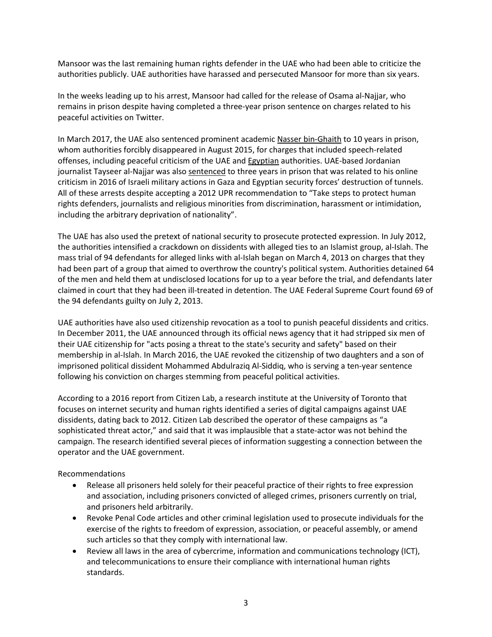Mansoor was the last remaining human rights defender in the UAE who had been able to criticize the authorities publicly. UAE authorities have harassed and persecuted Mansoor for more than six years.

In the weeks leading up to his arrest, Mansoor had called for the release of Osama al-Najjar, who remains in prison despite having completed a three-year prison sentence on charges related to his peaceful activities on Twitter.

In March 2017, the UAE also sentenced prominent academic Nasser [bin-Ghaith](https://www.hrw.org/news/2017/02/16/uae-academic-facing-speech-charges) to 10 years in prison, whom authorities forcibly disappeared in August 2015, for charges that included speech-related offenses, including peaceful criticism of the UAE and [Egyptian](https://www.hrw.org/middle-east/n-africa/egypt) authorities. UAE-based Jordanian journalist Tayseer al-Najjar was also [sentenced](https://www.hrw.org/news/2017/03/17/uae-jordanian-journalist-convicted) to three years in prison that was related to his online criticism in 2016 of Israeli military actions in Gaza and Egyptian security forces' destruction of tunnels. All of these arrests despite accepting a 2012 UPR recommendation to "Take steps to protect human rights defenders, journalists and religious minorities from discrimination, harassment or intimidation, including the arbitrary deprivation of nationality".

The UAE has also used the pretext of national security to prosecute protected expression. In July 2012, the authorities intensified a crackdown on dissidents with alleged ties to an Islamist group, al-Islah. The mass trial of 94 defendants for alleged links with al-Islah began on March 4, 2013 on charges that they had been part of a group that aimed to overthrow the country's political system. Authorities detained 64 of the men and held them at undisclosed locations for up to a year before the trial, and defendants later claimed in court that they had been ill-treated in detention. The UAE Federal Supreme Court found 69 of the 94 defendants guilty on July 2, 2013.

UAE authorities have also used citizenship revocation as a tool to punish peaceful dissidents and critics. In December 2011, the UAE announced through its official news agency that it had stripped six men of their UAE citizenship for "acts posing a threat to the state's security and safety" based on their membership in al-Islah. In March 2016, the UAE revoked the citizenship of two daughters and a son of imprisoned political dissident Mohammed Abdulraziq Al-Siddiq, who is serving a ten-year sentence following his conviction on charges stemming from peaceful political activities.

According to a 2016 report from Citizen Lab, a research institute at the University of Toronto that focuses on internet security and human rights identified a series of digital campaigns against UAE dissidents, dating back to 2012. Citizen Lab described the operator of these campaigns as "a sophisticated threat actor," and said that it was implausible that a state-actor was not behind the campaign. The research identified several pieces of information suggesting a connection between the operator and the UAE government.

Recommendations

- Release all prisoners held solely for their peaceful practice of their rights to free expression and association, including prisoners convicted of alleged crimes, prisoners currently on trial, and prisoners held arbitrarily.
- Revoke Penal Code articles and other criminal legislation used to prosecute individuals for the exercise of the rights to freedom of expression, association, or peaceful assembly, or amend such articles so that they comply with international law.
- Review all laws in the area of cybercrime, information and communications technology (ICT), and telecommunications to ensure their compliance with international human rights standards.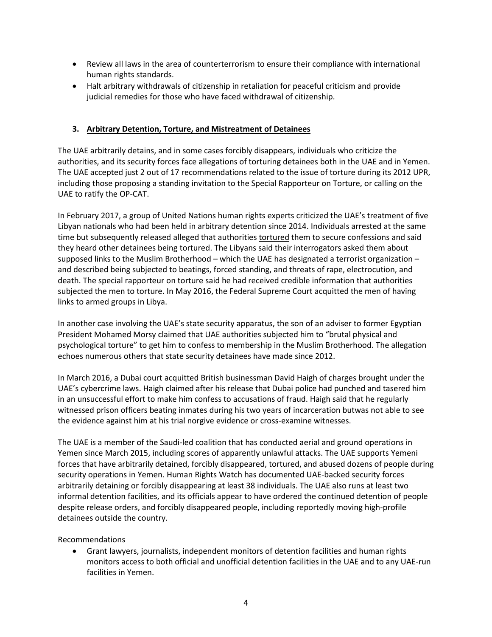- Review all laws in the area of counterterrorism to ensure their compliance with international human rights standards.
- Halt arbitrary withdrawals of citizenship in retaliation for peaceful criticism and provide judicial remedies for those who have faced withdrawal of citizenship.

#### **3. Arbitrary Detention, Torture, and Mistreatment of Detainees**

The UAE arbitrarily detains, and in some cases forcibly disappears, individuals who criticize the authorities, and its security forces face allegations of torturing detainees both in the UAE and in Yemen. The UAE accepted just 2 out of 17 recommendations related to the issue of torture during its 2012 UPR, including those proposing a standing invitation to the Special Rapporteur on Torture, or calling on the UAE to ratify the OP-CAT.

In February 2017, a group of United Nations human rights experts criticized the UAE's treatment of five Libyan nationals who had been held in arbitrary detention since 2014. Individuals arrested at the same time but subsequently released alleged that authorities [tortured](https://www.hrw.org/news/2015/10/13/uae-investigate-allegations-torture-foreign-nationals) them to secure confessions and said they heard other detainees being tortured. The Libyans said their interrogators asked them about supposed links to the Muslim Brotherhood – which the UAE has designated a terrorist organization – and described being subjected to beatings, forced standing, and threats of rape, electrocution, and death. The special rapporteur on torture said he had received credible information that authorities subjected the men to torture. In May 2016, the Federal Supreme Court acquitted the men of having links to armed groups in Libya.

In another case involving the UAE's state security apparatus, the son of an adviser to former Egyptian President Mohamed Morsy claimed that UAE authorities subjected him to "brutal physical and psychological torture" to get him to confess to membership in the Muslim Brotherhood. The allegation echoes numerous others that state security detainees have made since 2012.

In March 2016, a Dubai court acquitted British businessman David Haigh of charges brought under the UAE's cybercrime laws. Haigh claimed after his release that Dubai police had punched and tasered him in an unsuccessful effort to make him confess to accusations of fraud. Haigh said that he regularly witnessed prison officers beating inmates during his two years of incarceration butwas not able to see the evidence against him at his trial norgive evidence or cross-examine witnesses.

The UAE is a member of the Saudi-led coalition that has conducted aerial and ground operations in Yemen since March 2015, including scores of apparently unlawful attacks. The UAE supports Yemeni forces that have arbitrarily detained, forcibly disappeared, tortured, and abused dozens of people during security operations in Yemen. Human Rights Watch has documented UAE-backed security forces arbitrarily detaining or forcibly disappearing at least 38 individuals. The UAE also runs at least two informal detention facilities, and its officials appear to have ordered the continued detention of people despite release orders, and forcibly disappeared people, including reportedly moving high-profile detainees outside the country.

Recommendations

 Grant lawyers, journalists, independent monitors of detention facilities and human rights monitors access to both official and unofficial detention facilities in the UAE and to any UAE-run facilities in Yemen.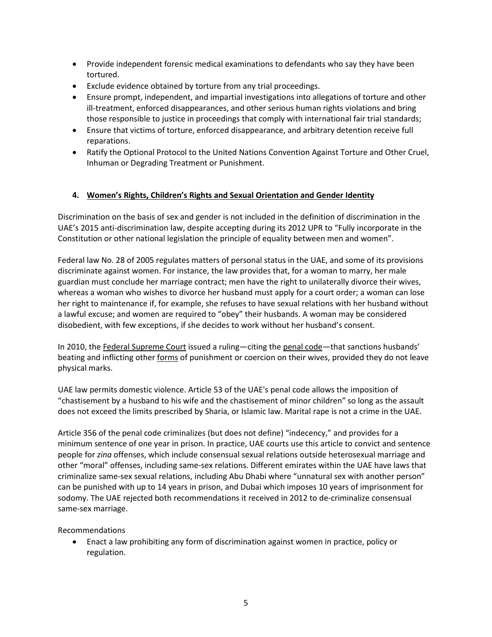- Provide independent forensic medical examinations to defendants who say they have been tortured.
- Exclude evidence obtained by torture from any trial proceedings.
- Ensure prompt, independent, and impartial investigations into allegations of torture and other ill-treatment, enforced disappearances, and other serious human rights violations and bring those responsible to justice in proceedings that comply with international fair trial standards;
- Ensure that victims of torture, enforced disappearance, and arbitrary detention receive full reparations.
- Ratify the Optional Protocol to the United Nations Convention Against Torture and Other Cruel, Inhuman or Degrading Treatment or Punishment.

# **4. Women's Rights, Children's Rights and Sexual Orientation and Gender Identity**

Discrimination on the basis of sex and gender is not included in the definition of discrimination in the UAE's 2015 anti-discrimination law, despite accepting during its 2012 UPR to "Fully incorporate in the Constitution or other national legislation the principle of equality between men and women".

Federal law No. 28 of 2005 regulates matters of personal status in the UAE, and some of its provisions discriminate against women. For instance, the law provides that, for a woman to marry, her male guardian must conclude her marriage contract; men have the right to unilaterally divorce their wives, whereas a woman who wishes to divorce her husband must apply for a court order; a woman can lose her right to maintenance if, for example, she refuses to have sexual relations with her husband without a lawful excuse; and women are required to "obey" their husbands. A woman may be considered disobedient, with few exceptions, if she decides to work without her husband's consent.

In 2010, the Federal [Supreme](http://www.hrw.org/news/2010/10/19/uae-spousal-abuse-never-right) Court issued a ruling—citing the [penal](http://www.hrw.org/news/2010/10/19/uae-spousal-abuse-never-right) code—that sanctions husbands' beating and inflicting other [forms](http://www.hrw.org/news/2010/10/19/uae-spousal-abuse-never-right) of punishment or coercion on their wives, provided they do not leave physical marks.

UAE law permits domestic violence. Article 53 of the UAE's penal code allows the imposition of "chastisement by a husband to his wife and the chastisement of minor children" so long as the assault does not exceed the limits prescribed by Sharia, or Islamic law. Marital rape is not a crime in the UAE.

Article 356 of the penal code criminalizes (but does not define) "indecency," and provides for a minimum sentence of one year in prison. In practice, UAE courts use this article to convict and sentence people for *zina* offenses, which include consensual sexual relations outside heterosexual marriage and other "moral" offenses, including same-sex relations. Different emirates within the UAE have laws that criminalize same-sex sexual relations, including Abu Dhabi where "unnatural sex with another person" can be punished with up to 14 years in prison, and Dubai which imposes 10 years of imprisonment for sodomy. The UAE rejected both recommendations it received in 2012 to de-criminalize consensual same-sex marriage.

Recommendations

 Enact a law prohibiting any form of discrimination against women in practice, policy or regulation.